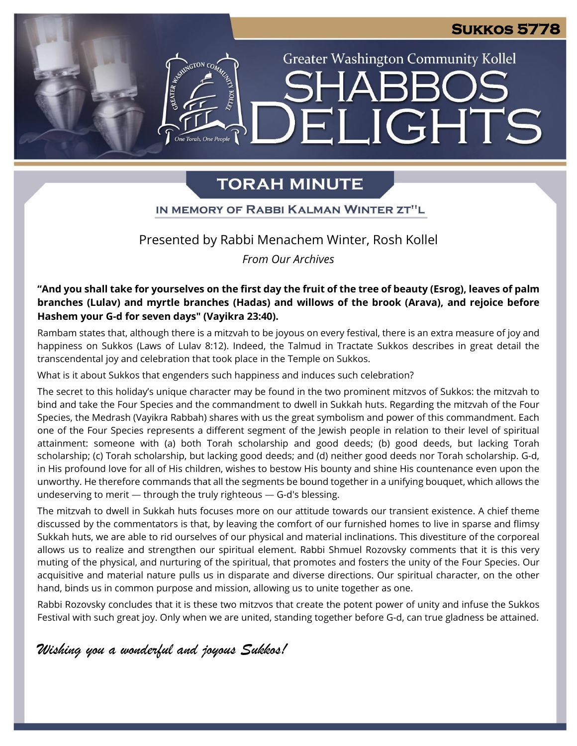#### **Sukkos 5778**

**Greater Washington Community Kollel** 

**\_IGHTS** 

## **TORAH MINUTE**

#### IN MEMORY OF RABBI KALMAN WINTER ZT"L

#### Presented by Rabbi Menachem Winter, Rosh Kollel

#### *From Our Archives*

"And you shall take for yourselves on the first day the fruit of the tree of beauty (Esrog), leaves of palm **branches (Lulav) and myrtle branches (Hadas) and willows of the brook (Arava), and rejoice before Hashem your G-d for seven days" (Vayikra 23:40).**

Rambam states that, although there is a mitzvah to be joyous on every festival, there is an extra measure of joy and happiness on Sukkos (Laws of Lulav 8:12). Indeed, the Talmud in Tractate Sukkos describes in great detail the transcendental joy and celebration that took place in the Temple on Sukkos.

What is it about Sukkos that engenders such happiness and induces such celebration?

e<br>Torah One Peopl

The secret to this holiday's unique character may be found in the two prominent mitzvos of Sukkos: the mitzvah to bind and take the Four Species and the commandment to dwell in Sukkah huts. Regarding the mitzvah of the Four Species, the Medrash (Vayikra Rabbah) shares with us the great symbolism and power of this commandment. Each one of the Four Species represents a different segment of the Jewish people in relation to their level of spiritual attainment: someone with (a) both Torah scholarship and good deeds; (b) good deeds, but lacking Torah scholarship; (c) Torah scholarship, but lacking good deeds; and (d) neither good deeds nor Torah scholarship. G-d, in His profound love for all of His children, wishes to bestow His bounty and shine His countenance even upon the unworthy. He therefore commands that all the segments be bound together in a unifying bouquet, which allows the undeserving to merit — through the truly righteous — G-d's blessing.

The mitzvah to dwell in Sukkah huts focuses more on our attitude towards our transient existence. A chief theme discussed by the commentators is that, by leaving the comfort of our furnished homes to live in sparse and flimsy Sukkah huts, we are able to rid ourselves of our physical and material inclinations. This divestiture of the corporeal allows us to realize and strengthen our spiritual element. Rabbi Shmuel Rozovsky comments that it is this very muting of the physical, and nurturing of the spiritual, that promotes and fosters the unity of the Four Species. Our acquisitive and material nature pulls us in disparate and diverse directions. Our spiritual character, on the other hand, binds us in common purpose and mission, allowing us to unite together as one.

Rabbi Rozovsky concludes that it is these two mitzvos that create the potent power of unity and infuse the Sukkos Festival with such great joy. Only when we are united, standing together before G-d, can true gladness be attained.

*Wishing you a wonderful and joyous Sukkos!*